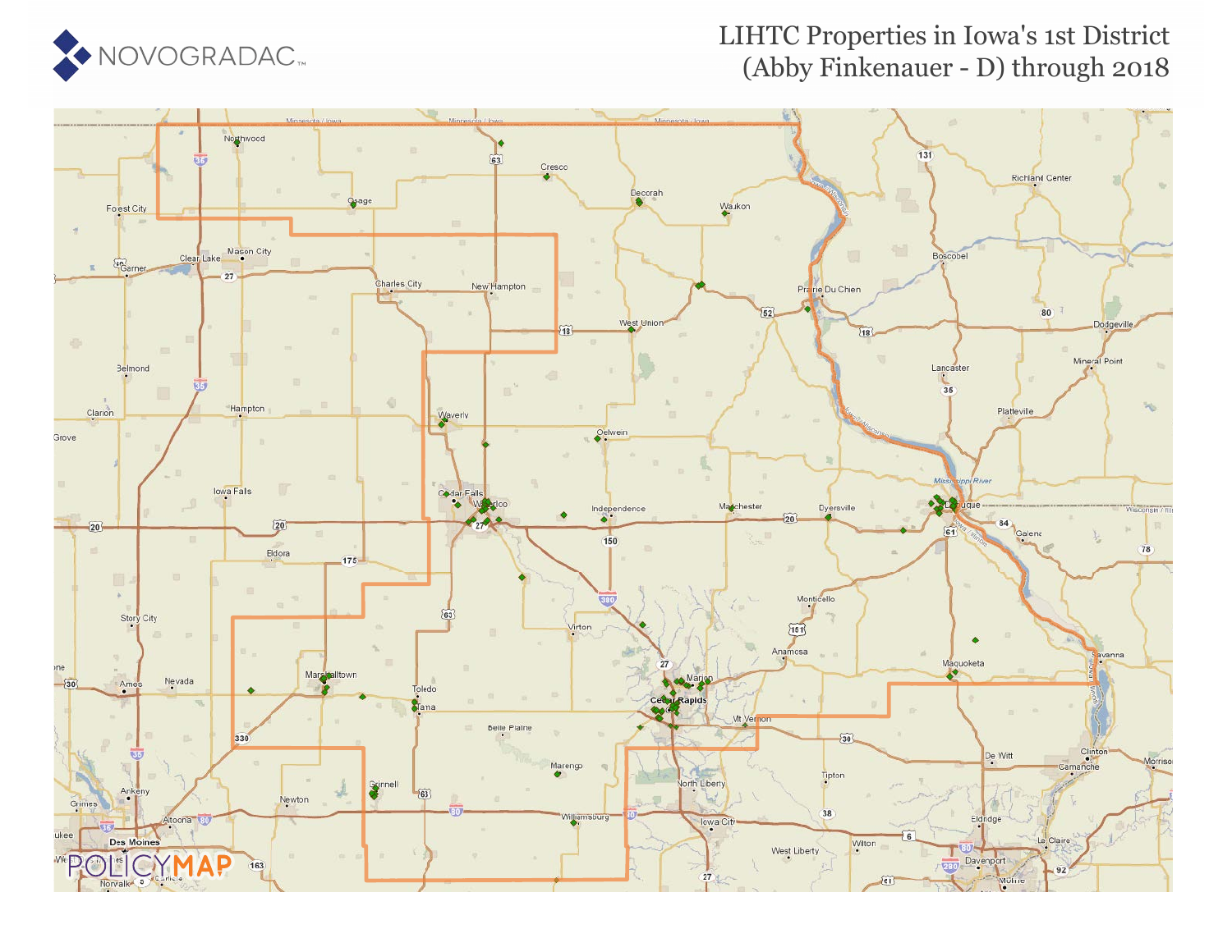

## LIHTC Properties in Iowa's 1st District (Abby Finkenauer - D) through 2018

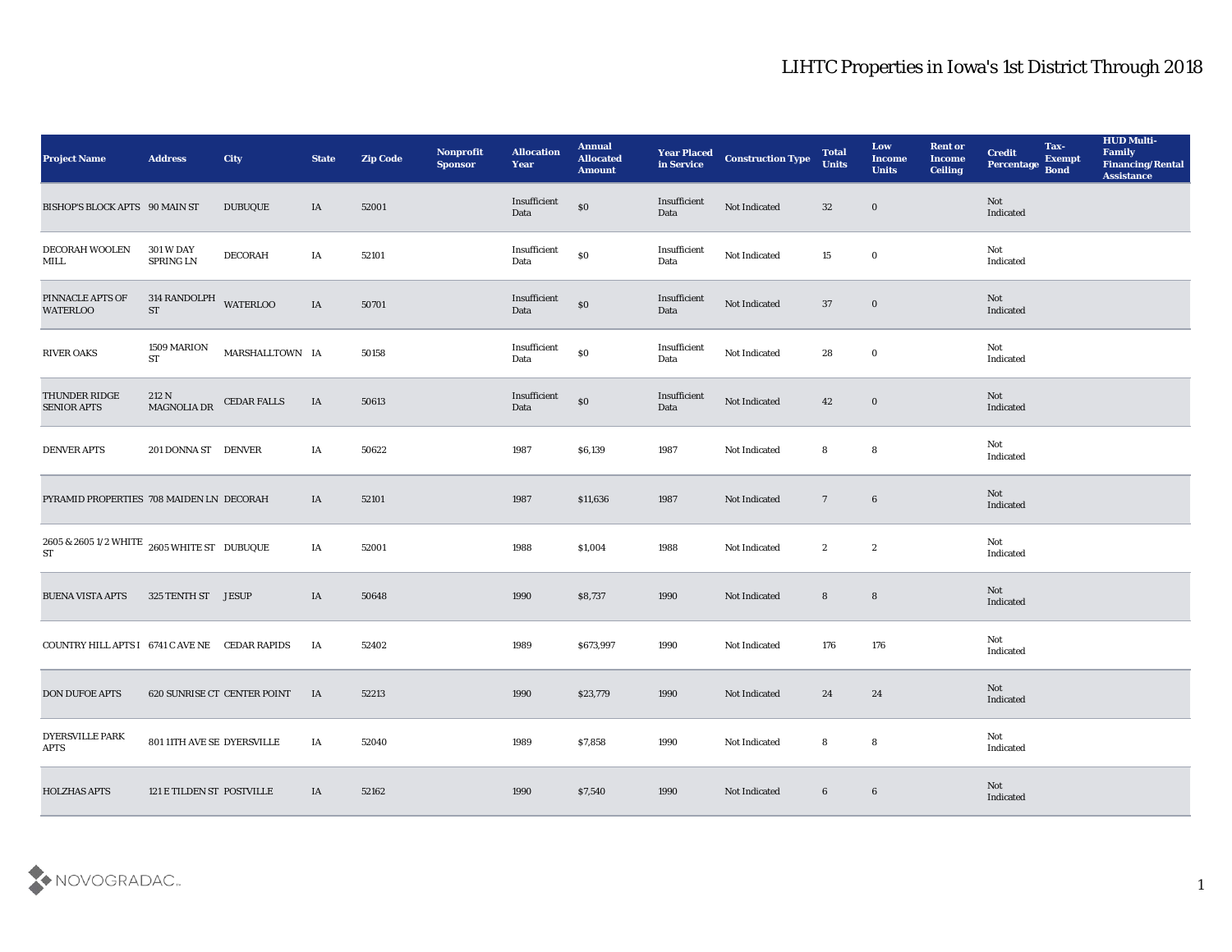| <b>Project Name</b>                                                 | <b>Address</b>                       | City                        | <b>State</b> | <b>Zip Code</b> | Nonprofit<br><b>Sponsor</b> | <b>Allocation</b><br>Year                   | <b>Annual</b><br>Allocated<br><b>Amount</b> | <b>Year Placed<br/>in Service</b> | <b>Construction Type</b> | <b>Total</b><br><b>Units</b> | Low<br><b>Income</b><br><b>Units</b> | <b>Rent or</b><br><b>Income</b><br><b>Ceiling</b> | <b>Credit</b><br>Percentage       | Tax-<br><b>Exempt</b><br><b>Bond</b> | <b>HUD Multi-</b><br>Family<br><b>Financing/Rental</b><br><b>Assistance</b> |
|---------------------------------------------------------------------|--------------------------------------|-----------------------------|--------------|-----------------|-----------------------------|---------------------------------------------|---------------------------------------------|-----------------------------------|--------------------------|------------------------------|--------------------------------------|---------------------------------------------------|-----------------------------------|--------------------------------------|-----------------------------------------------------------------------------|
| BISHOP'S BLOCK APTS 90 MAIN ST                                      |                                      | <b>DUBUQUE</b>              | IA           | 52001           |                             | Insufficient<br>Data                        | $\$0$                                       | Insufficient<br>Data              | Not Indicated            | 32                           | $\bf{0}$                             |                                                   | Not<br>Indicated                  |                                      |                                                                             |
| DECORAH WOOLEN<br>MILL                                              | <b>301 W DAY</b><br><b>SPRING LN</b> | <b>DECORAH</b>              | IA           | 52101           |                             | Insufficient<br>Data                        | $\$0$                                       | Insufficient<br>Data              | Not Indicated            | 15                           | $\bf{0}$                             |                                                   | Not<br>Indicated                  |                                      |                                                                             |
| PINNACLE APTS OF<br><b>WATERLOO</b>                                 | 314 RANDOLPH WATERLOO<br><b>ST</b>   |                             | IA           | 50701           |                             | Insufficient<br>Data                        | $\$0$                                       | Insufficient<br>Data              | Not Indicated            | 37                           | $\bf{0}$                             |                                                   | Not<br>Indicated                  |                                      |                                                                             |
| <b>RIVER OAKS</b>                                                   | 1509 MARION<br>ST                    | MARSHALLTOWN IA             |              | 50158           |                             | $\label{lem:optimal} In sufficient$<br>Data | $\$0$                                       | Insufficient<br>Data              | Not Indicated            | 28                           | $\bf{0}$                             |                                                   | Not<br>Indicated                  |                                      |                                                                             |
| THUNDER RIDGE<br>SENIOR APTS                                        | 212 N<br>MAGNOLIA DR                 | <b>CEDAR FALLS</b>          | IA           | 50613           |                             | Insufficient<br>Data                        | $\$0$                                       | Insufficient<br>Data              | Not Indicated            | 42                           | $\bf{0}$                             |                                                   | Not<br>Indicated                  |                                      |                                                                             |
| DENVER APTS                                                         | 201 DONNA ST DENVER                  |                             | IA           | 50622           |                             | 1987                                        | \$6,139                                     | 1987                              | Not Indicated            | 8                            | 8                                    |                                                   | Not<br>Indicated                  |                                      |                                                                             |
| PYRAMID PROPERTIES 708 MAIDEN LN DECORAH                            |                                      |                             | IA           | 52101           |                             | 1987                                        | \$11,636                                    | 1987                              | Not Indicated            | $7\phantom{.0}$              | $\boldsymbol{6}$                     |                                                   | Not<br>Indicated                  |                                      |                                                                             |
| $2605$ & $2605$ $1/2$ WHITE $\,$ $2605$ WHITE ST $\,$ DUBUQUE<br>ST |                                      |                             | IA           | 52001           |                             | 1988                                        | \$1,004                                     | 1988                              | Not Indicated            | $\mathbf{2}$                 | $\mathbf{2}$                         |                                                   | Not<br>$\operatorname{Indicated}$ |                                      |                                                                             |
| <b>BUENA VISTA APTS</b>                                             | 325 TENTH ST JESUP                   |                             | IA           | 50648           |                             | 1990                                        | \$8,737                                     | 1990                              | Not Indicated            | 8                            | $8\phantom{1}$                       |                                                   | Not<br>Indicated                  |                                      |                                                                             |
| COUNTRY HILL APTS I 6741 C AVE NE CEDAR RAPIDS                      |                                      |                             | IA           | 52402           |                             | 1989                                        | \$673,997                                   | 1990                              | Not Indicated            | 176                          | 176                                  |                                                   | Not<br>Indicated                  |                                      |                                                                             |
| <b>DON DUFOE APTS</b>                                               |                                      | 620 SUNRISE CT CENTER POINT | <b>IA</b>    | 52213           |                             | 1990                                        | \$23,779                                    | 1990                              | Not Indicated            | 24                           | 24                                   |                                                   | Not<br>Indicated                  |                                      |                                                                             |
| <b>DYERSVILLE PARK</b><br><b>APTS</b>                               | 801 11TH AVE SE DYERSVILLE           |                             | IA           | 52040           |                             | 1989                                        | \$7,858                                     | 1990                              | Not Indicated            | 8                            | $\boldsymbol{8}$                     |                                                   | Not<br>Indicated                  |                                      |                                                                             |
| <b>HOLZHAS APTS</b>                                                 | 121 E TILDEN ST POSTVILLE            |                             | IA           | 52162           |                             | 1990                                        | \$7,540                                     | 1990                              | Not Indicated            | 6                            | $6\phantom{.}6$                      |                                                   | Not<br>Indicated                  |                                      |                                                                             |

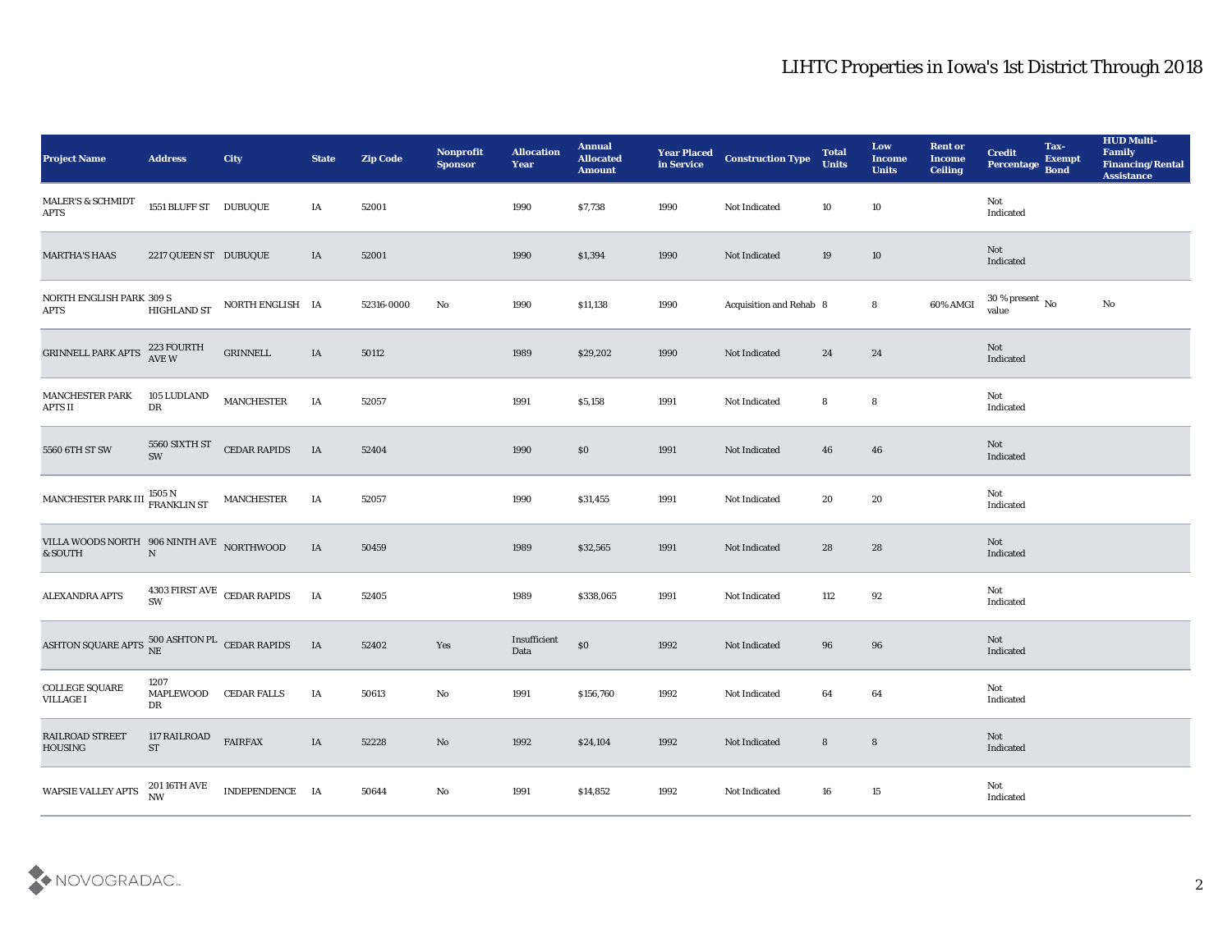| <b>Project Name</b>                                      | <b>Address</b>                      | City                               | <b>State</b> | <b>Zip Code</b> | Nonprofit<br><b>Sponsor</b> | <b>Allocation</b><br><b>Year</b> | <b>Annual</b><br><b>Allocated</b><br><b>Amount</b> | <b>Year Placed<br/>in Service</b> | <b>Construction Type</b> | <b>Total</b><br><b>Units</b> | Low<br><b>Income</b><br><b>Units</b> | <b>Rent or</b><br><b>Income</b><br><b>Ceiling</b> | <b>Credit</b><br>Percentage Bond | Tax-<br><b>Exempt</b> | <b>HUD Multi-</b><br>Family<br><b>Financing/Rental</b><br><b>Assistance</b> |
|----------------------------------------------------------|-------------------------------------|------------------------------------|--------------|-----------------|-----------------------------|----------------------------------|----------------------------------------------------|-----------------------------------|--------------------------|------------------------------|--------------------------------------|---------------------------------------------------|----------------------------------|-----------------------|-----------------------------------------------------------------------------|
| MALER'S & SCHMIDT<br><b>APTS</b>                         | 1551 BLUFF ST DUBUQUE               |                                    | IA           | 52001           |                             | 1990                             | \$7,738                                            | 1990                              | Not Indicated            | 10                           | 10                                   |                                                   | Not<br>Indicated                 |                       |                                                                             |
| <b>MARTHA'S HAAS</b>                                     | 2217 QUEEN ST DUBUQUE               |                                    | IA           | 52001           |                             | 1990                             | \$1,394                                            | 1990                              | Not Indicated            | 19                           | 10                                   |                                                   | Not<br>Indicated                 |                       |                                                                             |
| NORTH ENGLISH PARK 309 S<br><b>APTS</b>                  | <b>HIGHLAND ST</b>                  | NORTH ENGLISH IA                   |              | 52316-0000      | No                          | 1990                             | \$11,138                                           | 1990                              | Acquisition and Rehab 8  |                              | 8                                    | 60% AMGI                                          | $30\,\%$ present $\,$ No value   |                       | No                                                                          |
| <b>GRINNELL PARK APTS</b>                                | 223 FOURTH<br>AVE W                 | <b>GRINNELL</b>                    | IA           | 50112           |                             | 1989                             | \$29,202                                           | 1990                              | Not Indicated            | 24                           | 24                                   |                                                   | Not<br>Indicated                 |                       |                                                                             |
| MANCHESTER PARK<br>APTS II                               | 105 LUDLAND<br>${\rm DR}$           | <b>MANCHESTER</b>                  | IA           | 52057           |                             | 1991                             | \$5,158                                            | 1991                              | Not Indicated            | 8                            | 8                                    |                                                   | Not<br>Indicated                 |                       |                                                                             |
| 5560 6TH ST SW                                           | SW                                  | 5560 SIXTH ST CEDAR RAPIDS         | <b>IA</b>    | 52404           |                             | 1990                             | $\$0$                                              | 1991                              | Not Indicated            | 46                           | 46                                   |                                                   | Not<br>Indicated                 |                       |                                                                             |
| MANCHESTER PARK III $^{1505\,\rm{N}}_{\rm FRANKLIN\,ST}$ |                                     | MANCHESTER                         | IA           | 52057           |                             | 1990                             | \$31,455                                           | 1991                              | Not Indicated            | 20                           | 20                                   |                                                   | Not<br>Indicated                 |                       |                                                                             |
| VILLA WOODS NORTH 906 NINTH AVE NORTHWOOD<br>& SOUTH     | $\overline{N}$                      |                                    | IA           | 50459           |                             | 1989                             | \$32,565                                           | 1991                              | Not Indicated            | 28                           | 28                                   |                                                   | Not<br>Indicated                 |                       |                                                                             |
| ALEXANDRA APTS                                           | SW                                  | $4303$ FIRST AVE $\,$ CEDAR RAPIDS | IA           | 52405           |                             | 1989                             | \$338,065                                          | 1991                              | Not Indicated            | 112                          | 92                                   |                                                   | Not<br>Indicated                 |                       |                                                                             |
| ASHTON SQUARE APTS $^{500}_{NE}$ ASHTON PL CEDAR RAPIDS  |                                     |                                    | IA           | 52402           | Yes                         | Insufficient<br>Data             | $\boldsymbol{\mathsf{S}}\boldsymbol{\mathsf{O}}$   | 1992                              | Not Indicated            | 96                           | 96                                   |                                                   | Not<br>Indicated                 |                       |                                                                             |
| COLLEGE SQUARE<br><b>VILLAGE I</b>                       | 1207<br>MAPLEWOOD CEDAR FALLS<br>DR |                                    | IA           | 50613           | No                          | 1991                             | \$156,760                                          | 1992                              | Not Indicated            | 64                           | 64                                   |                                                   | Not<br>Indicated                 |                       |                                                                             |
| RAILROAD STREET<br><b>HOUSING</b>                        | 117 RAILROAD<br>${\rm ST}$          | <b>FAIRFAX</b>                     | $\;$ IA      | 52228           | $\rm\, No$                  | 1992                             | \$24,104                                           | 1992                              | Not Indicated            | ${\bf 8}$                    | $\bf8$                               |                                                   | Not<br>Indicated                 |                       |                                                                             |
| WAPSIE VALLEY APTS                                       | 201 16TH AVE<br>NW                  | INDEPENDENCE IA                    |              | 50644           | $\rm\, No$                  | 1991                             | \$14,852                                           | 1992                              | Not Indicated            | 16                           | 15                                   |                                                   | Not<br>Indicated                 |                       |                                                                             |

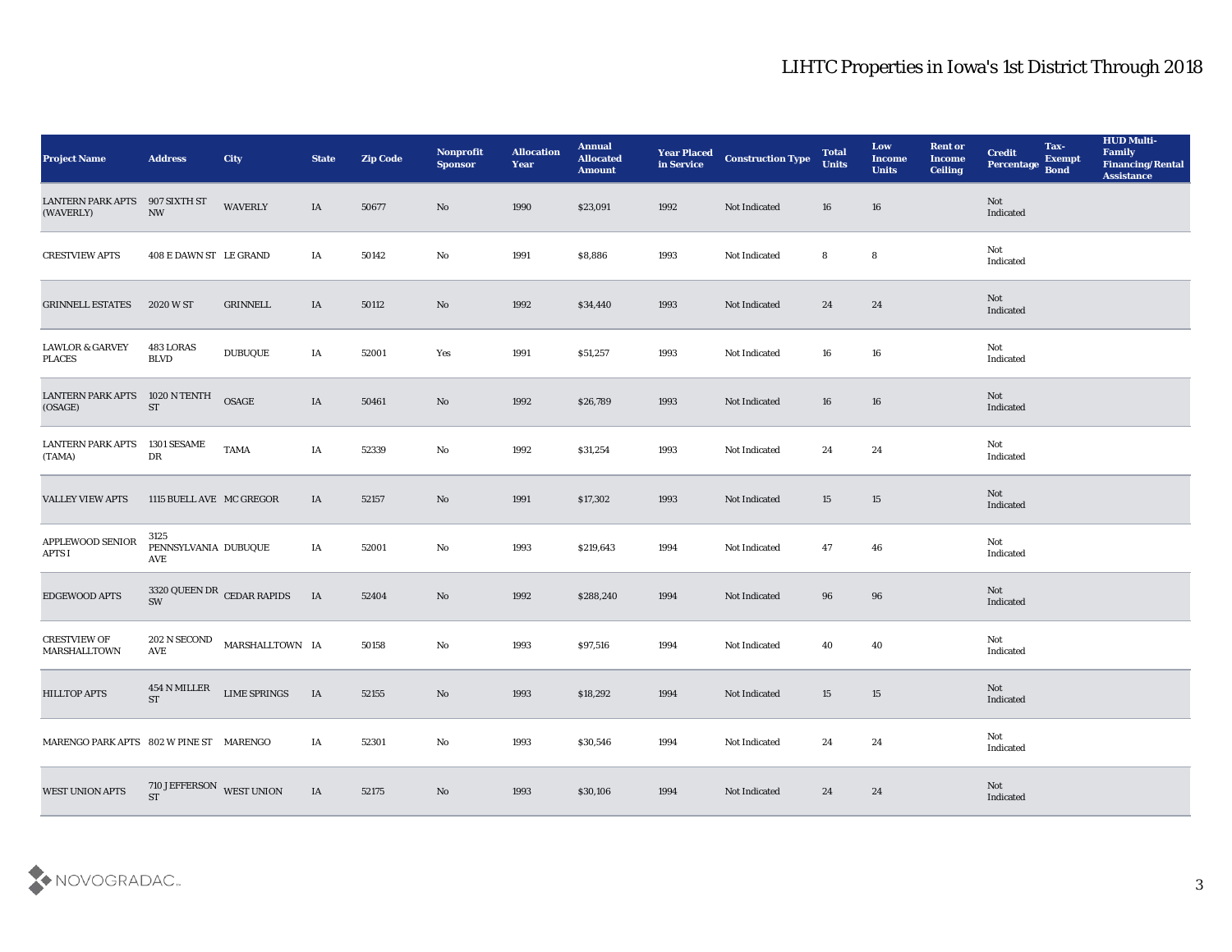| <b>Project Name</b>                         | <b>Address</b>                           | City                       | <b>State</b> | <b>Zip Code</b> | Nonprofit<br><b>Sponsor</b> | <b>Allocation</b><br><b>Year</b> | <b>Annual</b><br><b>Allocated</b><br><b>Amount</b> | <b>Year Placed</b><br>in Service | <b>Construction Type</b> | <b>Total</b><br><b>Units</b> | Low<br><b>Income</b><br><b>Units</b> | <b>Rent or</b><br><b>Income</b><br><b>Ceiling</b> | <b>Credit</b><br>Percentage | Tax-<br><b>Exempt</b><br><b>Bond</b> | <b>HUD Multi-</b><br>Family<br><b>Financing/Rental</b><br><b>Assistance</b> |
|---------------------------------------------|------------------------------------------|----------------------------|--------------|-----------------|-----------------------------|----------------------------------|----------------------------------------------------|----------------------------------|--------------------------|------------------------------|--------------------------------------|---------------------------------------------------|-----------------------------|--------------------------------------|-----------------------------------------------------------------------------|
| <b>LANTERN PARK APTS</b><br>(WAVERLY)       | 907 SIXTH ST<br>$\ensuremath{\text{NW}}$ | <b>WAVERLY</b>             | IA           | 50677           | No                          | 1990                             | \$23,091                                           | 1992                             | Not Indicated            | 16                           | 16                                   |                                                   | Not<br>Indicated            |                                      |                                                                             |
| <b>CRESTVIEW APTS</b>                       | 408 E DAWN ST LE GRAND                   |                            | IA           | 50142           | No                          | 1991                             | \$8,886                                            | 1993                             | Not Indicated            | 8                            | 8                                    |                                                   | Not<br>Indicated            |                                      |                                                                             |
| <b>GRINNELL ESTATES</b>                     | 2020 W ST                                | GRINNELL                   | IA           | 50112           | No                          | 1992                             | \$34,440                                           | 1993                             | Not Indicated            | 24                           | 24                                   |                                                   | Not<br>Indicated            |                                      |                                                                             |
| <b>LAWLOR &amp; GARVEY</b><br><b>PLACES</b> | 483 LORAS<br><b>BLVD</b>                 | <b>DUBUQUE</b>             | IA           | 52001           | Yes                         | 1991                             | \$51,257                                           | 1993                             | Not Indicated            | 16                           | 16                                   |                                                   | Not<br>Indicated            |                                      |                                                                             |
| <b>LANTERN PARK APTS</b><br>(OSAGE)         | 1020 N TENTH<br>$\operatorname{ST}$      | $\mathbf{OSAGE}$           | IA           | 50461           | No                          | 1992                             | \$26,789                                           | 1993                             | Not Indicated            | 16                           | 16                                   |                                                   | <b>Not</b><br>Indicated     |                                      |                                                                             |
| <b>LANTERN PARK APTS</b><br>(TAMA)          | 1301 SESAME<br>DR                        | <b>TAMA</b>                | IA           | 52339           | No                          | 1992                             | \$31,254                                           | 1993                             | Not Indicated            | 24                           | 24                                   |                                                   | Not<br>Indicated            |                                      |                                                                             |
| <b>VALLEY VIEW APTS</b>                     | 1115 BUELL AVE MC GREGOR                 |                            | IA           | 52157           | No                          | 1991                             | \$17,302                                           | 1993                             | Not Indicated            | 15                           | 15                                   |                                                   | Not<br>Indicated            |                                      |                                                                             |
| APPLEWOOD SENIOR<br>APTS I                  | 3125<br>PENNSYLVANIA DUBUQUE<br>AVE      |                            | IA           | 52001           | No                          | 1993                             | \$219,643                                          | 1994                             | Not Indicated            | 47                           | 46                                   |                                                   | Not<br>Indicated            |                                      |                                                                             |
| EDGEWOOD APTS                               | SW                                       | 3320 QUEEN DR CEDAR RAPIDS | IA           | 52404           | No                          | 1992                             | \$288,240                                          | 1994                             | Not Indicated            | 96                           | 96                                   |                                                   | Not<br>Indicated            |                                      |                                                                             |
| <b>CRESTVIEW OF</b><br>MARSHALLTOWN         | $202$ N SECOND<br>$\operatorname{AVE}$   | MARSHALLTOWN IA            |              | 50158           | $\mathbf{No}$               | 1993                             | \$97,516                                           | 1994                             | Not Indicated            | 40                           | 40                                   |                                                   | Not<br>Indicated            |                                      |                                                                             |
| <b>HILLTOP APTS</b>                         | 454 N MILLER<br><b>ST</b>                | <b>LIME SPRINGS</b>        | IA           | 52155           | No                          | 1993                             | \$18,292                                           | 1994                             | Not Indicated            | 15                           | 15                                   |                                                   | Not<br>Indicated            |                                      |                                                                             |
| MARENGO PARK APTS 802 W PINE ST MARENGO     |                                          |                            | IA           | 52301           | $\rm\thinspace No$          | 1993                             | \$30,546                                           | 1994                             | Not Indicated            | 24                           | 24                                   |                                                   | Not<br>Indicated            |                                      |                                                                             |
| <b>WEST UNION APTS</b>                      | 710 JEFFERSON WEST UNION<br><b>ST</b>    |                            | IA           | 52175           | $\mathbf {No}$              | 1993                             | \$30,106                                           | 1994                             | Not Indicated            | 24                           | 24                                   |                                                   | Not<br>Indicated            |                                      |                                                                             |

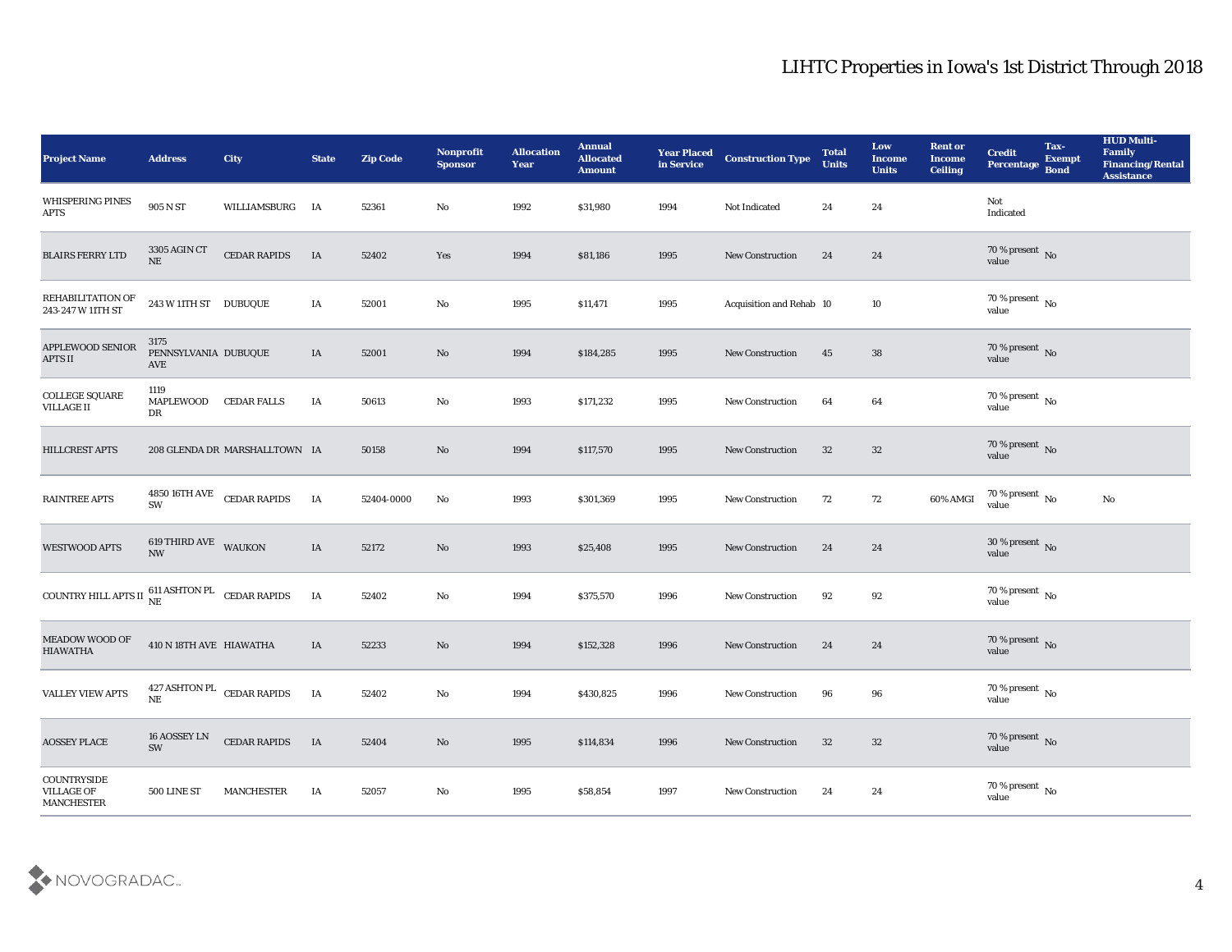| <b>Project Name</b>                                  | <b>Address</b>                           | City                                    | <b>State</b> | <b>Zip Code</b> | Nonprofit<br><b>Sponsor</b> | <b>Allocation</b><br><b>Year</b> | <b>Annual</b><br><b>Allocated</b><br><b>Amount</b> | <b>Year Placed</b><br>in Service | <b>Construction Type</b> | <b>Total</b><br><b>Units</b> | Low<br><b>Income</b><br><b>Units</b> | <b>Rent or</b><br><b>Income</b><br><b>Ceiling</b> | <b>Credit</b><br>Percentage         | Tax-<br><b>Exempt</b><br><b>Bond</b> | <b>HUD Multi-</b><br>Family<br><b>Financing/Rental</b><br><b>Assistance</b> |
|------------------------------------------------------|------------------------------------------|-----------------------------------------|--------------|-----------------|-----------------------------|----------------------------------|----------------------------------------------------|----------------------------------|--------------------------|------------------------------|--------------------------------------|---------------------------------------------------|-------------------------------------|--------------------------------------|-----------------------------------------------------------------------------|
| WHISPERING PINES<br><b>APTS</b>                      | 905 N ST                                 | WILLIAMSBURG IA                         |              | 52361           | No                          | 1992                             | \$31,980                                           | 1994                             | Not Indicated            | 24                           | 24                                   |                                                   | Not<br>Indicated                    |                                      |                                                                             |
| <b>BLAIRS FERRY LTD</b>                              | 3305 AGIN CT<br>$\rm{NE}$                | <b>CEDAR RAPIDS</b>                     | IA           | 52402           | Yes                         | 1994                             | \$81,186                                           | 1995                             | <b>New Construction</b>  | 24                           | 24                                   |                                                   | $70\,\%$ present $\,$ No value      |                                      |                                                                             |
| REHABILITATION OF<br>243-247 W 11TH ST               | 243 W 11TH ST DUBUQUE                    |                                         | IA           | 52001           | $\mathbf {No}$              | 1995                             | \$11,471                                           | 1995                             | Acquisition and Rehab 10 |                              | 10                                   |                                                   | $70\,\%$ present $\,$ No value      |                                      |                                                                             |
| APPLEWOOD SENIOR<br><b>APTS II</b>                   | 3175<br>PENNSYLVANIA DUBUQUE<br>AVE      |                                         | IA           | 52001           | No                          | 1994                             | \$184,285                                          | 1995                             | New Construction         | 45                           | 38                                   |                                                   | $70\,\%$ present $\,$ No value      |                                      |                                                                             |
| $\operatorname{COLLEGE}$ SQUARE<br><b>VILLAGE II</b> | 1119<br>MAPLEWOOD<br>DR                  | <b>CEDAR FALLS</b>                      | IA           | 50613           | No                          | 1993                             | \$171,232                                          | 1995                             | <b>New Construction</b>  | 64                           | 64                                   |                                                   | $70\,\%$ present $\,$ No value      |                                      |                                                                             |
| <b>HILLCREST APTS</b>                                |                                          | 208 GLENDA DR MARSHALLTOWN IA           |              | 50158           | No                          | 1994                             | \$117,570                                          | 1995                             | <b>New Construction</b>  | 32                           | $32\,$                               |                                                   | $70\,\%$ present $\,$ No value      |                                      |                                                                             |
| <b>RAINTREE APTS</b>                                 | SW                                       | 4850 16TH AVE CEDAR RAPIDS              | IA           | 52404-0000      | No                          | 1993                             | \$301,369                                          | 1995                             | <b>New Construction</b>  | 72                           | 72                                   | 60% AMGI                                          | $70\,\% \,present \over value$      |                                      | $\mathbf{N}\mathbf{o}$                                                      |
| <b>WESTWOOD APTS</b>                                 | <b>619 THIRD AVE WAUKON</b><br><b>NW</b> |                                         | IA           | 52172           | $\mathbf{N}\mathbf{o}$      | 1993                             | \$25,408                                           | 1995                             | <b>New Construction</b>  | 24                           | 24                                   |                                                   | $30\,\%$ present $\,$ No $\,$ value |                                      |                                                                             |
| COUNTRY HILL APTS II                                 |                                          | $611$ ASHTON PL $\quad$ CEDAR RAPIDS NE | IA           | 52402           | $\mathbf{N}\mathbf{o}$      | 1994                             | \$375,570                                          | 1996                             | <b>New Construction</b>  | 92                           | 92                                   |                                                   | $70\,\%$ present $\,$ No value      |                                      |                                                                             |
| <b>MEADOW WOOD OF</b><br><b>HIAWATHA</b>             | 410 N 18TH AVE HIAWATHA                  |                                         | IA           | 52233           | $\rm\thinspace No$          | 1994                             | \$152,328                                          | 1996                             | <b>New Construction</b>  | 24                           | 24                                   |                                                   | $70\,\%$ present $\,$ No value      |                                      |                                                                             |
| <b>VALLEY VIEW APTS</b>                              | $\rm{NE}$                                | 427 ASHTON PL CEDAR RAPIDS              | IA           | 52402           | No                          | 1994                             | \$430,825                                          | 1996                             | <b>New Construction</b>  | 96                           | 96                                   |                                                   | 70 % present No<br>value            |                                      |                                                                             |
| <b>AOSSEY PLACE</b>                                  | 16 AOSSEY LN<br>SW                       | <b>CEDAR RAPIDS</b>                     | <b>IA</b>    | 52404           | $\rm\thinspace No$          | 1995                             | \$114,834                                          | 1996                             | New Construction         | 32                           | 32                                   |                                                   | 70 % present No<br>value            |                                      |                                                                             |
| COUNTRYSIDE<br>VILLAGE OF<br>MANCHESTER              | 500 LINE ST                              | <b>MANCHESTER</b>                       | IA           | 52057           | $\mathbf {No}$              | 1995                             | \$58,854                                           | 1997                             | New Construction         | 24                           | 24                                   |                                                   | 70 % present $\,$ No $\,$<br>value  |                                      |                                                                             |

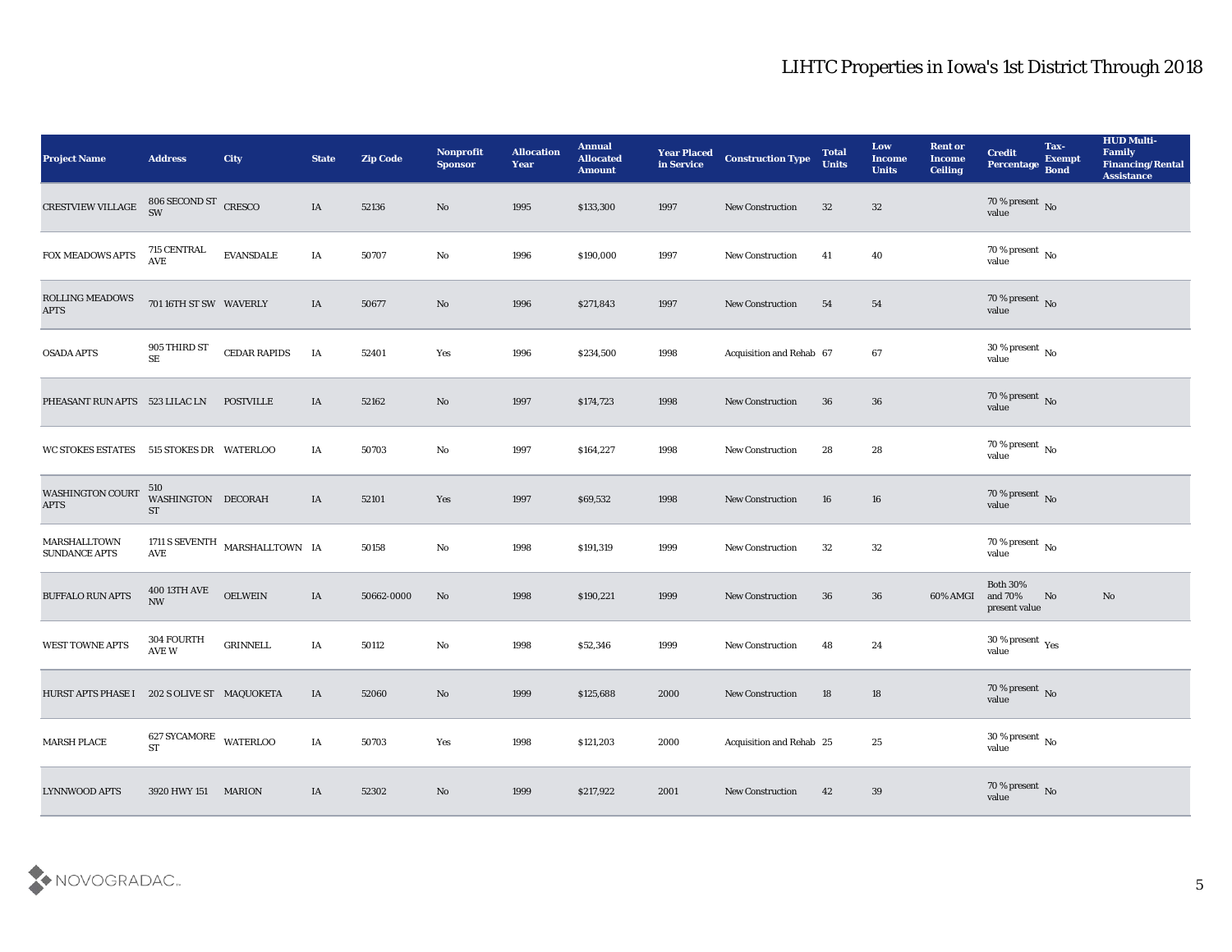| <b>Project Name</b>                         | <b>Address</b>                         | <b>City</b>                    | <b>State</b> | <b>Zip Code</b> | Nonprofit<br><b>Sponsor</b> | <b>Allocation</b><br><b>Year</b> | <b>Annual</b><br><b>Allocated</b><br><b>Amount</b> | <b>Year Placed</b><br>in Service | <b>Construction Type</b> | <b>Total</b><br><b>Units</b> | Low<br><b>Income</b><br><b>Units</b> | <b>Rent or</b><br><b>Income</b><br><b>Ceiling</b> | <b>Credit</b><br>Percentage                 | Tax-<br><b>Exempt</b><br><b>Bond</b> | <b>HUD Multi-</b><br>Family<br>Financing/Rental<br><b>Assistance</b> |
|---------------------------------------------|----------------------------------------|--------------------------------|--------------|-----------------|-----------------------------|----------------------------------|----------------------------------------------------|----------------------------------|--------------------------|------------------------------|--------------------------------------|---------------------------------------------------|---------------------------------------------|--------------------------------------|----------------------------------------------------------------------|
| CRESTVIEW VILLAGE                           | $806$ SECOND ST $\,$ CRESCO SW         |                                | IA           | 52136           | No                          | 1995                             | \$133,300                                          | 1997                             | New Construction         | 32                           | 32                                   |                                                   | $70\,\%$ present $\,$ No value              |                                      |                                                                      |
| FOX MEADOWS APTS                            | 715 CENTRAL<br>$\operatorname{AVE}$    | <b>EVANSDALE</b>               | IA           | 50707           | $\mathbf{N}\mathbf{o}$      | 1996                             | \$190,000                                          | 1997                             | <b>New Construction</b>  | 41                           | 40                                   |                                                   | $70\,\%$ present $\,$ No value              |                                      |                                                                      |
| <b>ROLLING MEADOWS</b><br><b>APTS</b>       | 701 16TH ST SW WAVERLY                 |                                | IA           | 50677           | No                          | 1996                             | \$271,843                                          | 1997                             | New Construction         | 54                           | 54                                   |                                                   | $70\,\%$ present $\,$ No value              |                                      |                                                                      |
| <b>OSADA APTS</b>                           | 905 THIRD ST<br>$\rm SE$               | <b>CEDAR RAPIDS</b>            | IA           | 52401           | Yes                         | 1996                             | \$234,500                                          | 1998                             | Acquisition and Rehab 67 |                              | 67                                   |                                                   | $30\,\%$ present $\,$ No value              |                                      |                                                                      |
| PHEASANT RUN APTS 523 LILAC LN              |                                        | <b>POSTVILLE</b>               | IA           | 52162           | No                          | 1997                             | \$174,723                                          | 1998                             | <b>New Construction</b>  | 36                           | 36                                   |                                                   | $70\,\%$ present $\,$ No value              |                                      |                                                                      |
| WC STOKES ESTATES 515 STOKES DR WATERLOO    |                                        |                                | IA           | 50703           | $\mathbf {No}$              | 1997                             | \$164,227                                          | 1998                             | New Construction         | 28                           | 28                                   |                                                   | $70\,\%$ present $\,$ No value              |                                      |                                                                      |
| <b>WASHINGTON COURT</b><br><b>APTS</b>      | 510<br>WASHINGTON DECORAH<br><b>ST</b> |                                | IA           | 52101           | Yes                         | 1997                             | \$69,532                                           | 1998                             | New Construction         | 16                           | 16                                   |                                                   | $70\,\%$ present $\,$ No value              |                                      |                                                                      |
| MARSHALLTOWN<br><b>SUNDANCE APTS</b>        | AVE                                    | 1711 S SEVENTH MARSHALLTOWN IA |              | 50158           | $\rm\thinspace No$          | 1998                             | \$191,319                                          | 1999                             | <b>New Construction</b>  | 32                           | 32                                   |                                                   | $70\,\%$ present $\,$ No value              |                                      |                                                                      |
| <b>BUFFALO RUN APTS</b>                     | 400 13TH AVE<br><b>NW</b>              | <b>OELWEIN</b>                 | IA           | 50662-0000      | No                          | 1998                             | \$190,221                                          | 1999                             | <b>New Construction</b>  | 36                           | 36                                   | 60% AMGI                                          | <b>Both 30%</b><br>and 70%<br>present value | No                                   | No                                                                   |
| WEST TOWNE APTS                             | 304 FOURTH<br>$\operatorname{AVE}$ W   | <b>GRINNELL</b>                | IA           | 50112           | $\rm\thinspace No$          | 1998                             | \$52,346                                           | 1999                             | <b>New Construction</b>  | 48                           | 24                                   |                                                   | $30\,\%$ present $\,$ Yes value             |                                      |                                                                      |
| HURST APTS PHASE I 202 S OLIVE ST MAQUOKETA |                                        |                                | IA           | 52060           | No                          | 1999                             | \$125,688                                          | 2000                             | <b>New Construction</b>  | 18                           | 18                                   |                                                   | $70\,\%$ present $\,$ No value              |                                      |                                                                      |
| <b>MARSH PLACE</b>                          | $627$ SYCAMORE $$\tt WATERLOO$$ $$ST$  |                                | $\rm I A$    | 50703           | Yes                         | 1998                             | \$121,203                                          | 2000                             | Acquisition and Rehab 25 |                              | $25\,$                               |                                                   | $30\,\%$ present $\,$ No value              |                                      |                                                                      |
| <b>LYNNWOOD APTS</b>                        | 3920 HWY 151 MARION                    |                                | IA           | 52302           | $\rm\thinspace No$          | 1999                             | \$217,922                                          | 2001                             | <b>New Construction</b>  | 42                           | $39\,$                               |                                                   | $70\,\%$ present $\,$ No value              |                                      |                                                                      |

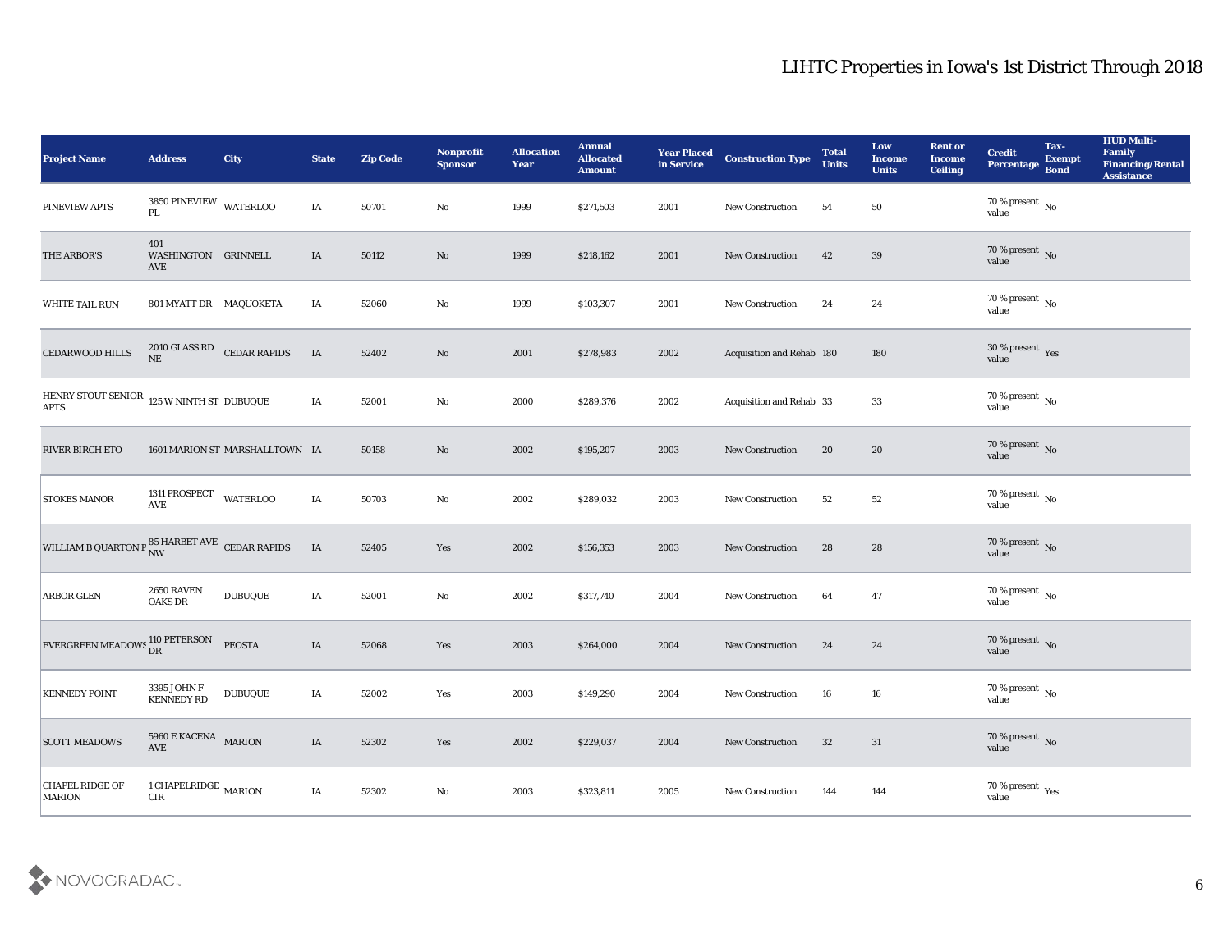| <b>Project Name</b>                                                 | <b>Address</b>                                | City                           | <b>State</b>  | <b>Zip Code</b> | Nonprofit<br><b>Sponsor</b> | <b>Allocation</b><br><b>Year</b> | <b>Annual</b><br><b>Allocated</b><br><b>Amount</b> | <b>Year Placed</b><br>in Service | <b>Construction Type</b>  | <b>Total</b><br><b>Units</b> | Low<br>Income<br><b>Units</b> | <b>Rent or</b><br><b>Income</b><br><b>Ceiling</b> | <b>Credit</b><br>Percentage                 | Tax-<br><b>Exempt</b><br><b>Bond</b> | <b>HUD Multi-</b><br>Family<br><b>Financing/Rental</b><br><b>Assistance</b> |
|---------------------------------------------------------------------|-----------------------------------------------|--------------------------------|---------------|-----------------|-----------------------------|----------------------------------|----------------------------------------------------|----------------------------------|---------------------------|------------------------------|-------------------------------|---------------------------------------------------|---------------------------------------------|--------------------------------------|-----------------------------------------------------------------------------|
| PINEVIEW APTS                                                       | $3850$ PINEVIEW $$\tt WATERLOO$$ PL           |                                | IA            | 50701           | No                          | 1999                             | \$271,503                                          | 2001                             | <b>New Construction</b>   | 54                           | 50                            |                                                   | $70\,\%$ present $\,$ No value              |                                      |                                                                             |
| THE ARBOR'S                                                         | 401<br>WASHINGTON GRINNELL<br>AVE             |                                | IA            | 50112           | No                          | 1999                             | \$218,162                                          | 2001                             | <b>New Construction</b>   | 42                           | 39                            |                                                   | $70\,\%$ present $\,$ No value              |                                      |                                                                             |
| <b>WHITE TAIL RUN</b>                                               | 801 MYATT DR MAQUOKETA                        |                                | IA            | 52060           | No                          | 1999                             | \$103,307                                          | 2001                             | New Construction          | 24                           | 24                            |                                                   | $70\,\%$ present $\,$ No value              |                                      |                                                                             |
| CEDARWOOD HILLS                                                     | $\rm{NE}$                                     | 2010 GLASS RD CEDAR RAPIDS     | IA            | 52402           | No                          | 2001                             | \$278,983                                          | 2002                             | Acquisition and Rehab 180 |                              | 180                           |                                                   | $30\,\%$ present $\,$ Yes value             |                                      |                                                                             |
| HENRY STOUT SENIOR $\,$ 125 W NINTH ST $\,$ DUBUQUE<br><b>APTS</b>  |                                               |                                | IA            | 52001           | $\rm\thinspace No$          | 2000                             | \$289,376                                          | 2002                             | Acquisition and Rehab 33  |                              | 33                            |                                                   | $70\,\%$ present $\,$ No value              |                                      |                                                                             |
| <b>RIVER BIRCH ETO</b>                                              |                                               | 1601 MARION ST MARSHALLTOWN IA |               | 50158           | No                          | 2002                             | \$195,207                                          | 2003                             | <b>New Construction</b>   | 20                           | 20                            |                                                   | $70\,\%$ present $\,$ No value              |                                      |                                                                             |
| <b>STOKES MANOR</b>                                                 | 1311 PROSPECT WATERLOO AVE                    |                                | IA            | 50703           | No                          | 2002                             | \$289,032                                          | 2003                             | <b>New Construction</b>   | 52                           | 52                            |                                                   | $70\,\%$ present $\,$ No value              |                                      |                                                                             |
| WILLIAM B QUARTON P $_{\rm NW}^{85\text{ HARBET AVE}}$ CEDAR RAPIDS |                                               |                                | IA            | 52405           | Yes                         | 2002                             | \$156,353                                          | 2003                             | <b>New Construction</b>   | 28                           | 28                            |                                                   | $70$ % present $_{\rm{No}}$ $_{\rm{value}}$ |                                      |                                                                             |
| <b>ARBOR GLEN</b>                                                   | <b>2650 RAVEN</b><br><b>OAKS DR</b>           | <b>DUBUQUE</b>                 | IA            | 52001           | No                          | 2002                             | \$317,740                                          | 2004                             | <b>New Construction</b>   | 64                           | 47                            |                                                   | $70\,\%$ present $\,$ No value              |                                      |                                                                             |
| EVERGREEN MEADOWS 110 PETERSON                                      |                                               | <b>PEOSTA</b>                  | IA            | 52068           | Yes                         | 2003                             | \$264,000                                          | 2004                             | <b>New Construction</b>   | 24                           | 24                            |                                                   | $70\,\%$ present $\,$ No value              |                                      |                                                                             |
| <b>KENNEDY POINT</b>                                                | 3395 JOHN F<br><b>KENNEDY RD</b>              | <b>DUBUQUE</b>                 | IA            | 52002           | Yes                         | 2003                             | \$149,290                                          | 2004                             | <b>New Construction</b>   | 16                           | 16                            |                                                   | 70 % present No<br>value                    |                                      |                                                                             |
| <b>SCOTT MEADOWS</b>                                                | 5960 E KACENA MARION<br>$\operatorname{AVE}$  |                                | $\rm IA$      | 52302           | $\mathbf{Yes}$              | 2002                             | \$229,037                                          | 2004                             | New Construction          | 32                           | 31                            |                                                   | $70\,\%$ present $\,$ No $\,$ value         |                                      |                                                                             |
| <b>CHAPEL RIDGE OF</b><br><b>MARION</b>                             | 1 CHAPELRIDGE $\,$ MARION $\,$<br>${\rm CIR}$ |                                | $\mathbf{IA}$ | 52302           | ${\bf No}$                  | 2003                             | \$323,811                                          | 2005                             | New Construction          | 144                          | 144                           |                                                   | $70\,\%$ present $\,$ Yes value             |                                      |                                                                             |

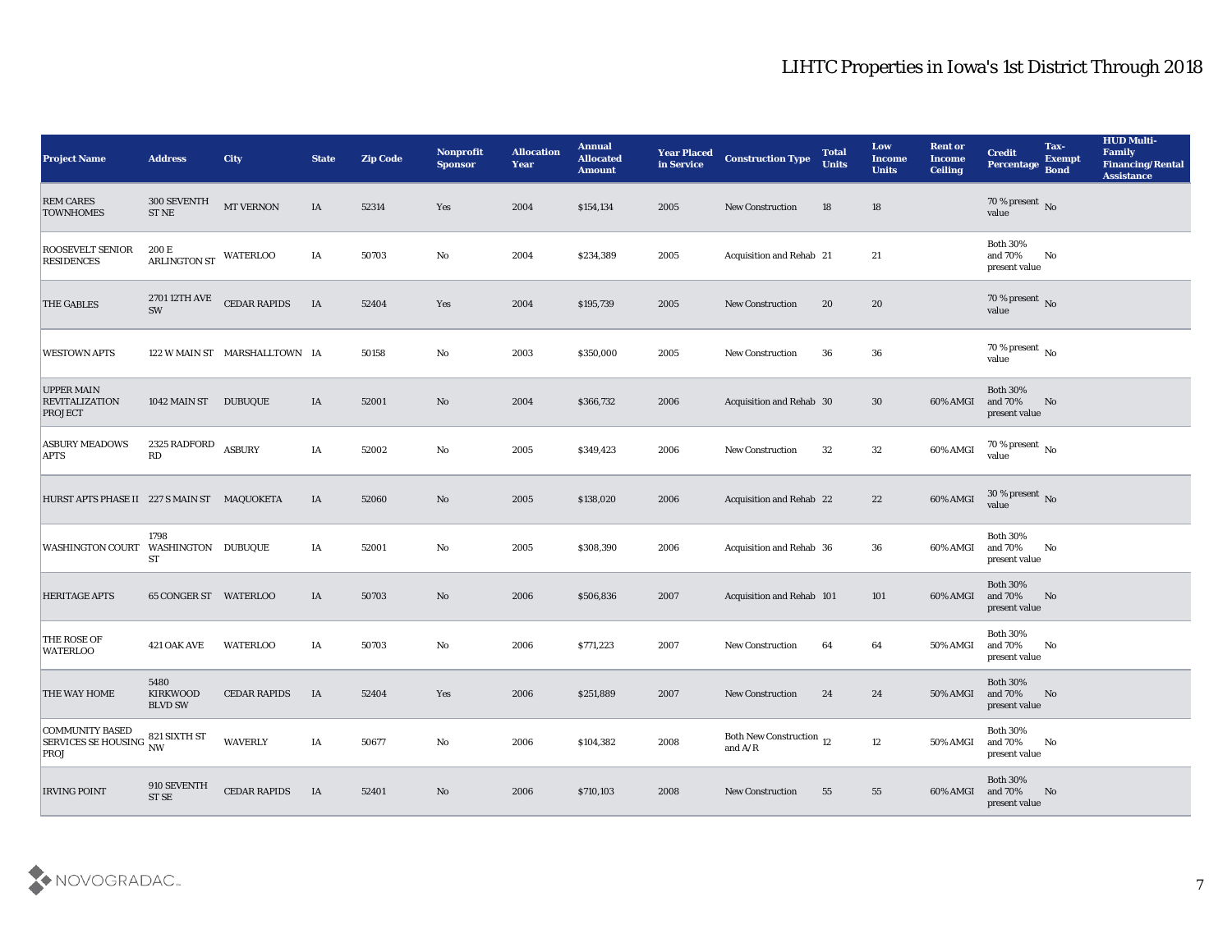| <b>Project Name</b>                                          | <b>Address</b>                                | <b>City</b>                   | <b>State</b> | <b>Zip Code</b> | Nonprofit<br><b>Sponsor</b> | <b>Allocation</b><br><b>Year</b> | <b>Annual</b><br><b>Allocated</b><br><b>Amount</b> | <b>Year Placed</b><br>in Service | <b>Construction Type</b>                  | <b>Total</b><br><b>Units</b> | Low<br><b>Income</b><br><b>Units</b> | <b>Rent or</b><br>Income<br><b>Ceiling</b> | <b>Credit</b><br><b>Percentage</b>             | Tax-<br><b>Exempt</b><br><b>Bond</b> | <b>HUD Multi-</b><br>Family<br><b>Financing/Rental</b><br><b>Assistance</b> |
|--------------------------------------------------------------|-----------------------------------------------|-------------------------------|--------------|-----------------|-----------------------------|----------------------------------|----------------------------------------------------|----------------------------------|-------------------------------------------|------------------------------|--------------------------------------|--------------------------------------------|------------------------------------------------|--------------------------------------|-----------------------------------------------------------------------------|
| <b>REM CARES</b><br><b>TOWNHOMES</b>                         | 300 SEVENTH<br>${\rm ST\,NE}$                 | MT VERNON                     | IA           | 52314           | Yes                         | 2004                             | \$154,134                                          | 2005                             | <b>New Construction</b>                   | 18                           | 18                                   |                                            | $70\,\%$ present $\,$ No value                 |                                      |                                                                             |
| <b>ROOSEVELT SENIOR</b><br><b>RESIDENCES</b>                 | 200 E<br>ARLINGTON ST                         | <b>WATERLOO</b>               | IA           | 50703           | No                          | 2004                             | \$234,389                                          | 2005                             | Acquisition and Rehab 21                  |                              | 21                                   |                                            | <b>Both 30%</b><br>and 70%<br>present value    | No                                   |                                                                             |
| <b>THE GABLES</b>                                            | 2701 12TH AVE<br>SW                           | <b>CEDAR RAPIDS</b>           | IA           | 52404           | Yes                         | 2004                             | \$195,739                                          | 2005                             | <b>New Construction</b>                   | 20                           | 20                                   |                                            | 70 % present No<br>value                       |                                      |                                                                             |
| <b>WESTOWN APTS</b>                                          |                                               | 122 W MAIN ST MARSHALLTOWN IA |              | 50158           | No                          | 2003                             | \$350,000                                          | 2005                             | <b>New Construction</b>                   | 36                           | 36                                   |                                            | $70\,\%$ present $\,$ No value                 |                                      |                                                                             |
| <b>UPPER MAIN</b><br><b>REVITALIZATION</b><br><b>PROJECT</b> | 1042 MAIN ST DUBUQUE                          |                               | IA           | 52001           | No                          | 2004                             | \$366,732                                          | 2006                             | Acquisition and Rehab 30                  |                              | 30                                   | 60% AMGI                                   | <b>Both 30%</b><br>and 70%<br>present value    | No                                   |                                                                             |
| <b>ASBURY MEADOWS</b><br><b>APTS</b>                         | 2325 RADFORD<br>RD                            | <b>ASBURY</b>                 | IA           | 52002           | No                          | 2005                             | \$349,423                                          | 2006                             | <b>New Construction</b>                   | 32                           | 32                                   | 60% AMGI                                   | $70\,\%$ present $\,$ No value                 |                                      |                                                                             |
| HURST APTS PHASE II 227 S MAIN ST MAQUOKETA                  |                                               |                               | IA           | 52060           | No                          | 2005                             | \$138,020                                          | 2006                             | Acquisition and Rehab 22                  |                              | 22                                   | 60% AMGI                                   | $30\,\%$ present $\,$ No value                 |                                      |                                                                             |
| <b>WASHINGTON COURT</b>                                      | 1798<br>WASHINGTON DUBUQUE<br><b>ST</b>       |                               | IA           | 52001           | No                          | 2005                             | \$308,390                                          | 2006                             | Acquisition and Rehab 36                  |                              | 36                                   | 60% AMGI                                   | <b>Both 30%</b><br>and 70%<br>present value    | No                                   |                                                                             |
| <b>HERITAGE APTS</b>                                         | 65 CONGER ST WATERLOO                         |                               | IA           | 50703           | No                          | 2006                             | \$506,836                                          | 2007                             | <b>Acquisition and Rehab 101</b>          |                              | 101                                  | 60% AMGI                                   | <b>Both 30%</b><br>and 70%<br>present value    | No                                   |                                                                             |
| THE ROSE OF<br><b>WATERLOO</b>                               | 421 OAK AVE                                   | <b>WATERLOO</b>               | IA           | 50703           | No                          | 2006                             | \$771,223                                          | 2007                             | <b>New Construction</b>                   | 64                           | 64                                   | 50% AMGI                                   | <b>Both 30%</b><br>and $70\%$<br>present value | No                                   |                                                                             |
| <b>THE WAY HOME</b>                                          | 5480<br><b>KIRKWOOD</b><br><b>BLVD SW</b>     | <b>CEDAR RAPIDS</b>           | IA           | 52404           | Yes                         | 2006                             | \$251,889                                          | 2007                             | <b>New Construction</b>                   | 24                           | 24                                   | <b>50% AMGI</b>                            | <b>Both 30%</b><br>and 70%<br>present value    | No                                   |                                                                             |
| <b>COMMUNITY BASED</b><br>SERVICES SE HOUSING NW<br>PROJ     | 821 SIXTH ST                                  | <b>WAVERLY</b>                | IA           | 50677           | $\mathbf {No}$              | 2006                             | \$104,382                                          | 2008                             | Both New Construction 12<br>and $\rm A/R$ |                              | 12                                   | 50% AMGI                                   | <b>Both 30%</b><br>and 70%<br>present value    | N <sub>o</sub>                       |                                                                             |
| <b>IRVING POINT</b>                                          | $910\text{ SEVENTH}$<br>$\operatorname{STSE}$ | CEDAR RAPIDS                  | <b>IA</b>    | 52401           | $\mathbf {No}$              | 2006                             | \$710,103                                          | 2008                             | New Construction                          | 55                           | 55                                   | 60% AMGI                                   | <b>Both 30%</b><br>and 70%<br>present value    | N <sub>o</sub>                       |                                                                             |

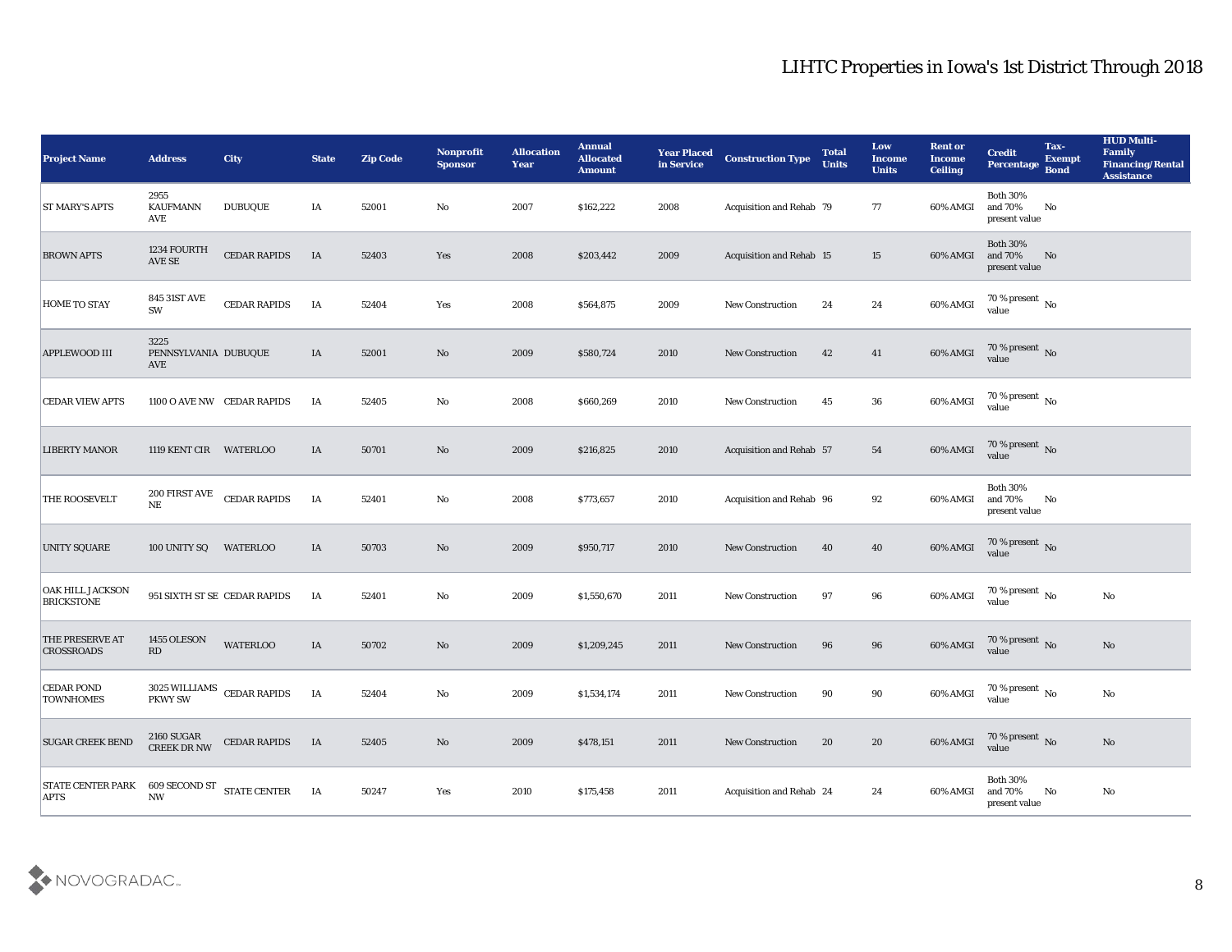| <b>Project Name</b>                            | <b>Address</b>                      | <b>City</b>                  | <b>State</b> | <b>Zip Code</b> | <b>Nonprofit</b><br><b>Sponsor</b> | <b>Allocation</b><br><b>Year</b> | <b>Annual</b><br><b>Allocated</b><br><b>Amount</b> | <b>Year Placed</b><br>in Service | <b>Construction Type</b> | <b>Total</b><br><b>Units</b> | Low<br><b>Income</b><br><b>Units</b> | <b>Rent or</b><br><b>Income</b><br><b>Ceiling</b> | <b>Credit</b><br>Percentage                   | Tax-<br><b>Exempt</b><br><b>Bond</b> | <b>HUD Multi-</b><br>Family<br><b>Financing/Rental</b><br><b>Assistance</b> |
|------------------------------------------------|-------------------------------------|------------------------------|--------------|-----------------|------------------------------------|----------------------------------|----------------------------------------------------|----------------------------------|--------------------------|------------------------------|--------------------------------------|---------------------------------------------------|-----------------------------------------------|--------------------------------------|-----------------------------------------------------------------------------|
| <b>ST MARY'S APTS</b>                          | 2955<br><b>KAUFMANN</b><br>AVE      | <b>DUBUQUE</b>               | IA           | 52001           | No                                 | 2007                             | \$162,222                                          | 2008                             | Acquisition and Rehab 79 |                              | 77                                   | 60% AMGI                                          | <b>Both 30%</b><br>and 70%<br>present value   | No                                   |                                                                             |
| <b>BROWN APTS</b>                              | 1234 FOURTH<br>AVE SE               | <b>CEDAR RAPIDS</b>          | IA           | 52403           | Yes                                | 2008                             | \$203,442                                          | 2009                             | Acquisition and Rehab 15 |                              | 15                                   | 60% AMGI                                          | <b>Both 30%</b><br>and 70%<br>present value   | No                                   |                                                                             |
| <b>HOME TO STAY</b>                            | <b>845 31ST AVE</b><br>SW           | <b>CEDAR RAPIDS</b>          | IA           | 52404           | Yes                                | 2008                             | \$564,875                                          | 2009                             | <b>New Construction</b>  | 24                           | 24                                   | 60% AMGI                                          | 70 % present $\,$ No $\,$<br>value            |                                      |                                                                             |
| APPLEWOOD III                                  | 3225<br>PENNSYLVANIA DUBUQUE<br>AVE |                              | IA           | 52001           | No                                 | 2009                             | \$580,724                                          | 2010                             | <b>New Construction</b>  | 42                           | 41                                   | 60% AMGI                                          | $70\,\%$ present $\,$ No value                |                                      |                                                                             |
| <b>CEDAR VIEW APTS</b>                         |                                     | 1100 O AVE NW CEDAR RAPIDS   | IA           | 52405           | No                                 | 2008                             | \$660,269                                          | 2010                             | <b>New Construction</b>  | 45                           | 36                                   | 60% AMGI                                          | 70 % present $\,$ No $\,$<br>value            |                                      |                                                                             |
| <b>LIBERTY MANOR</b>                           | 1119 KENT CIR WATERLOO              |                              | IA           | 50701           | No                                 | 2009                             | \$216,825                                          | 2010                             | Acquisition and Rehab 57 |                              | 54                                   | 60% AMGI                                          | $70\,\%$ present $\,$ No value                |                                      |                                                                             |
| THE ROOSEVELT                                  | 200 FIRST AVE<br>$\rm{NE}$          | <b>CEDAR RAPIDS</b>          | IA           | 52401           | No                                 | 2008                             | \$773,657                                          | 2010                             | Acquisition and Rehab 96 |                              | 92                                   | 60% AMGI                                          | <b>Both 30%</b><br>and 70%<br>present value   | No                                   |                                                                             |
| <b>UNITY SQUARE</b>                            | 100 UNITY SQ                        | WATERLOO                     | IA           | 50703           | No                                 | 2009                             | \$950,717                                          | 2010                             | <b>New Construction</b>  | 40                           | 40                                   | 60% AMGI                                          | $70\,\%$ present $\,$ No value                |                                      |                                                                             |
| OAK HILL JACKSON<br><b>BRICKSTONE</b>          |                                     | 951 SIXTH ST SE CEDAR RAPIDS | IA           | 52401           | No                                 | 2009                             | \$1,550,670                                        | 2011                             | <b>New Construction</b>  | 97                           | 96                                   | 60% AMGI                                          | 70 % present $\sqrt{\phantom{a}}$ No<br>value |                                      | $\mathbf{N}\mathbf{o}$                                                      |
| <b>THE PRESERVE AT</b><br><b>CROSSROADS</b>    | 1455 OLESON<br>RD                   | <b>WATERLOO</b>              | $\rm IA$     | 50702           | No                                 | 2009                             | \$1,209,245                                        | 2011                             | <b>New Construction</b>  | 96                           | 96                                   | 60% AMGI                                          | $70\,\%$ present $\,$ No value                |                                      | No                                                                          |
| <b>CEDAR POND</b><br><b>TOWNHOMES</b>          | PKWY SW                             | 3025 WILLIAMS CEDAR RAPIDS   | IA           | 52404           | No                                 | 2009                             | \$1,534,174                                        | 2011                             | <b>New Construction</b>  | 90                           | 90                                   | 60% AMGI                                          | 70 % present $\,$ No $\,$<br>value            |                                      | $\mathbf{N}\mathbf{o}$                                                      |
| <b>SUGAR CREEK BEND</b>                        | 2160 SUGAR<br>CREEK DR NW           | <b>CEDAR RAPIDS</b>          | IA           | 52405           | $\rm\thinspace No$                 | 2009                             | \$478,151                                          | 2011                             | New Construction         | 20                           | 20                                   | 60% AMGI                                          | $70\,\%$ present $\,$ No value                |                                      | No                                                                          |
| STATE CENTER PARK 609 SECOND ST<br><b>APTS</b> | $\mathbf{N}\mathbf{W}$              | <b>STATE CENTER</b>          | IA           | 50247           | Yes                                | 2010                             | \$175,458                                          | 2011                             | Acquisition and Rehab 24 |                              | 24                                   | 60% AMGI                                          | Both $30\%$<br>and 70%<br>present value       | $\mathbf{N}\mathbf{o}$               | $\mathbf{N}\mathbf{o}$                                                      |

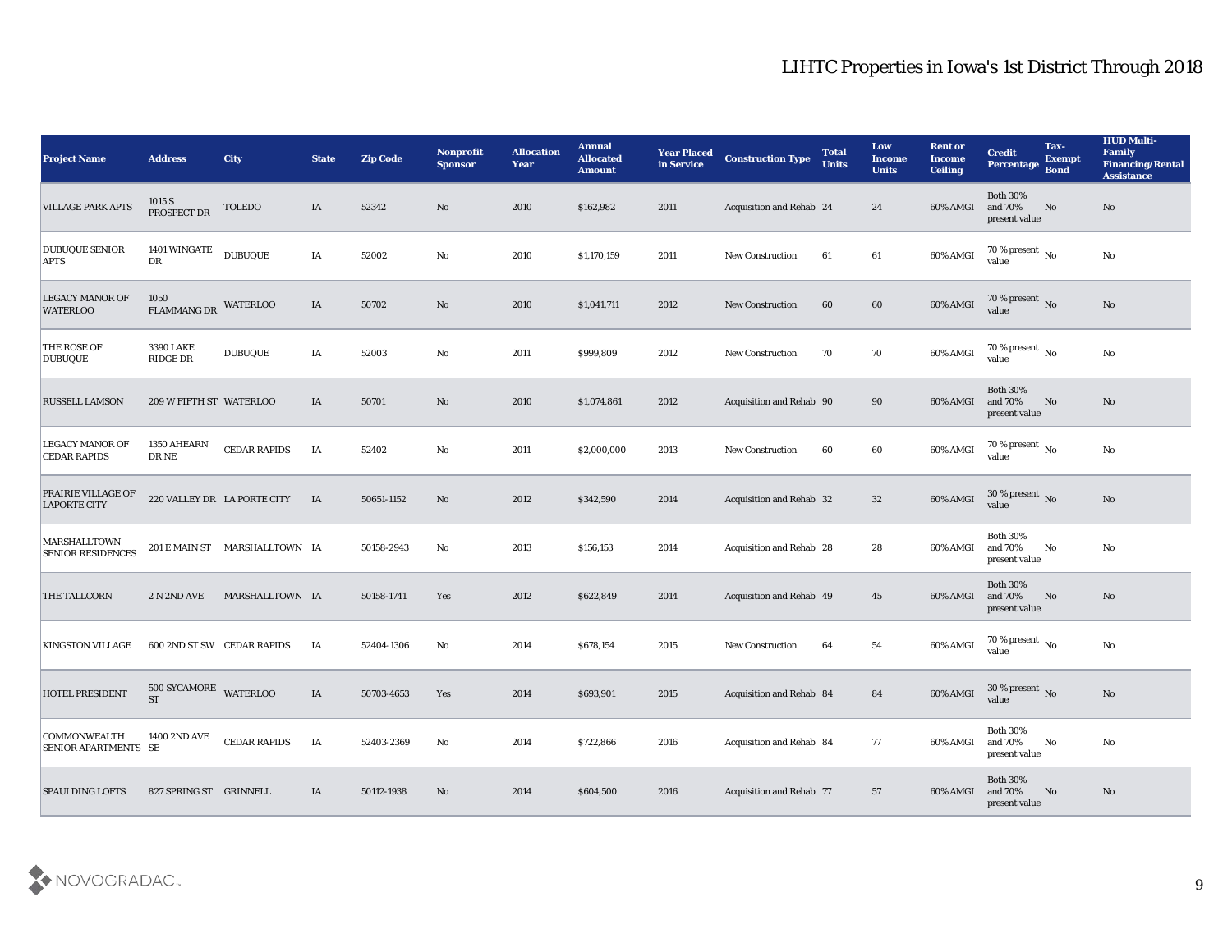| <b>Project Name</b>                                | <b>Address</b>                     | <b>City</b>                   | <b>State</b> | <b>Zip Code</b> | <b>Nonprofit</b><br><b>Sponsor</b> | <b>Allocation</b><br><b>Year</b> | <b>Annual</b><br><b>Allocated</b><br><b>Amount</b> | <b>Year Placed</b><br>in Service | <b>Construction Type</b>        | <b>Total</b><br><b>Units</b> | <b>Low</b><br><b>Income</b><br><b>Units</b> | <b>Rent or</b><br><b>Income</b><br><b>Ceiling</b> | <b>Credit</b><br><b>Percentage</b>          | Tax-<br><b>Exempt</b><br><b>Bond</b> | <b>HUD Multi-</b><br>Family<br><b>Financing/Rental</b><br><b>Assistance</b> |
|----------------------------------------------------|------------------------------------|-------------------------------|--------------|-----------------|------------------------------------|----------------------------------|----------------------------------------------------|----------------------------------|---------------------------------|------------------------------|---------------------------------------------|---------------------------------------------------|---------------------------------------------|--------------------------------------|-----------------------------------------------------------------------------|
| <b>VILLAGE PARK APTS</b>                           | 1015 S<br>PROSPECT DR              | TOLEDO                        | IA           | 52342           | No                                 | 2010                             | \$162,982                                          | 2011                             | <b>Acquisition and Rehab 24</b> |                              | 24                                          | 60% AMGI                                          | <b>Both 30%</b><br>and 70%<br>present value | No                                   | No                                                                          |
| <b>DUBUQUE SENIOR</b><br><b>APTS</b>               | <b>1401 WINGATE</b><br>DR          | <b>DUBUQUE</b>                | IA           | 52002           | No                                 | 2010                             | \$1,170,159                                        | 2011                             | <b>New Construction</b>         | 61                           | 61                                          | 60% AMGI                                          | $70\,\%$ present $\,$ No value              |                                      | $\mathbf{N}\mathbf{o}$                                                      |
| <b>LEGACY MANOR OF</b><br><b>WATERLOO</b>          | 1050<br><b>FLAMMANG DR</b>         | <b>WATERLOO</b>               | IA           | 50702           | No                                 | 2010                             | \$1,041,711                                        | 2012                             | <b>New Construction</b>         | 60                           | 60                                          | 60% AMGI                                          | 70 % present No<br>value                    |                                      | No                                                                          |
| <b>THE ROSE OF</b><br><b>DUBUQUE</b>               | <b>3390 LAKE</b><br>RIDGE DR       | <b>DUBUQUE</b>                | IA           | 52003           | No                                 | 2011                             | \$999,809                                          | 2012                             | New Construction                | 70                           | 70                                          | 60% AMGI                                          | 70 % present $\,$ No $\,$<br>value          |                                      | No                                                                          |
| <b>RUSSELL LAMSON</b>                              | 209 W FIFTH ST WATERLOO            |                               | IA           | 50701           | No                                 | 2010                             | \$1,074,861                                        | 2012                             | Acquisition and Rehab 90        |                              | 90                                          | 60% AMGI                                          | <b>Both 30%</b><br>and 70%<br>present value | No                                   | No                                                                          |
| <b>LEGACY MANOR OF</b><br><b>CEDAR RAPIDS</b>      | 1350 AHEARN<br>DR NE               | <b>CEDAR RAPIDS</b>           | IA           | 52402           | No                                 | 2011                             | \$2,000,000                                        | 2013                             | <b>New Construction</b>         | 60                           | 60                                          | 60% AMGI                                          | 70 % present $\,$ No $\,$<br>value          |                                      | $\mathbf{N}\mathbf{o}$                                                      |
| PRAIRIE VILLAGE OF<br><b>LAPORTE CITY</b>          |                                    | 220 VALLEY DR LA PORTE CITY   | IA           | 50651-1152      | No                                 | 2012                             | \$342,590                                          | 2014                             | Acquisition and Rehab 32        |                              | 32                                          | 60% AMGI                                          | $30\,\%$ present $\,$ No value              |                                      | No                                                                          |
| <b>MARSHALLTOWN</b><br><b>SENIOR RESIDENCES</b>    |                                    | 201 E MAIN ST MARSHALLTOWN IA |              | 50158-2943      | No                                 | 2013                             | \$156,153                                          | 2014                             | Acquisition and Rehab 28        |                              | 28                                          | 60% AMGI                                          | <b>Both 30%</b><br>and 70%<br>present value | No                                   | No                                                                          |
| <b>THE TALLCORN</b>                                | 2 N 2ND AVE                        | MARSHALLTOWN IA               |              | 50158-1741      | Yes                                | 2012                             | \$622,849                                          | 2014                             | Acquisition and Rehab 49        |                              | 45                                          | 60% AMGI                                          | <b>Both 30%</b><br>and 70%<br>present value | No                                   | No                                                                          |
| <b>KINGSTON VILLAGE</b>                            |                                    | 600 2ND ST SW CEDAR RAPIDS    | IA           | 52404-1306      | No                                 | 2014                             | \$678,154                                          | 2015                             | <b>New Construction</b>         | 64                           | 54                                          | 60% AMGI                                          | $70\,\%$ present $\,$ No value              |                                      | $\mathbf{N}\mathbf{o}$                                                      |
| <b>HOTEL PRESIDENT</b>                             | 500 SYCAMORE WATERLOO<br><b>ST</b> |                               | IA           | 50703-4653      | Yes                                | 2014                             | \$693,901                                          | 2015                             | <b>Acquisition and Rehab 84</b> |                              | 84                                          | 60% AMGI                                          | 30 % present $\overline{N_0}$<br>value      |                                      | $\mathbf{N}\mathbf{o}$                                                      |
| <b>COMMONWEALTH</b><br><b>SENIOR APARTMENTS SE</b> | 1400 2ND AVE                       | <b>CEDAR RAPIDS</b>           | IA           | 52403-2369      | $\rm\, No$                         | 2014                             | \$722,866                                          | 2016                             | Acquisition and Rehab 84        |                              | 77                                          | 60% AMGI                                          | <b>Both 30%</b><br>and 70%<br>present value | No                                   | $\mathbf{N}\mathbf{o}$                                                      |
| <b>SPAULDING LOFTS</b>                             | 827 SPRING ST GRINNELL             |                               | IA           | 50112-1938      | No                                 | 2014                             | \$604,500                                          | 2016                             | Acquisition and Rehab 77        |                              | 57                                          | 60% AMGI                                          | Both $30\%$<br>and 70%<br>present value     | No                                   | $\mathbf{N}\mathbf{o}$                                                      |